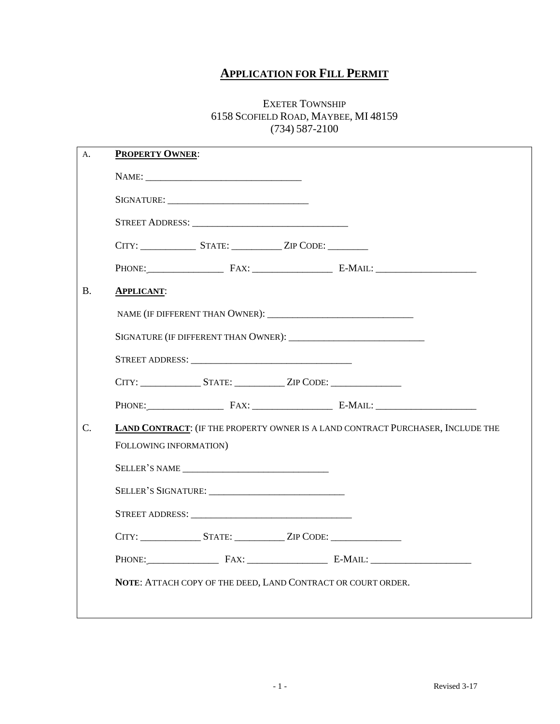# **APPLICATION FOR FILL PERMIT**

#### EXETER TOWNSHIP 6158 SCOFIELD ROAD, MAYBEE, MI 48159 (734) 587-2100

| <b>PROPERTY OWNER:</b> |                                                                                  |                                                                                 |                     |  |  |  |
|------------------------|----------------------------------------------------------------------------------|---------------------------------------------------------------------------------|---------------------|--|--|--|
|                        |                                                                                  |                                                                                 |                     |  |  |  |
|                        |                                                                                  |                                                                                 |                     |  |  |  |
|                        |                                                                                  |                                                                                 |                     |  |  |  |
|                        | CITY: STATE: ZIP CODE:                                                           |                                                                                 |                     |  |  |  |
|                        |                                                                                  |                                                                                 | PHONE: FAX: E-MAIL: |  |  |  |
| <b>APPLICANT:</b>      |                                                                                  |                                                                                 |                     |  |  |  |
|                        |                                                                                  |                                                                                 |                     |  |  |  |
|                        |                                                                                  |                                                                                 |                     |  |  |  |
|                        |                                                                                  |                                                                                 |                     |  |  |  |
|                        | CITY: STATE: ZIP CODE:                                                           |                                                                                 |                     |  |  |  |
|                        |                                                                                  |                                                                                 | PHONE: FAX: E-MAIL: |  |  |  |
|                        |                                                                                  | LAND CONTRACT: (IF THE PROPERTY OWNER IS A LAND CONTRACT PURCHASER, INCLUDE THE |                     |  |  |  |
|                        |                                                                                  |                                                                                 |                     |  |  |  |
| FOLLOWING INFORMATION) |                                                                                  |                                                                                 |                     |  |  |  |
|                        | SELLER'S NAME                                                                    |                                                                                 |                     |  |  |  |
|                        |                                                                                  |                                                                                 |                     |  |  |  |
|                        |                                                                                  |                                                                                 |                     |  |  |  |
|                        | CITY: ______________________STATE: _______________ZIP CODE: ____________________ |                                                                                 |                     |  |  |  |
|                        |                                                                                  |                                                                                 | PHONE: FAX: E-MAIL: |  |  |  |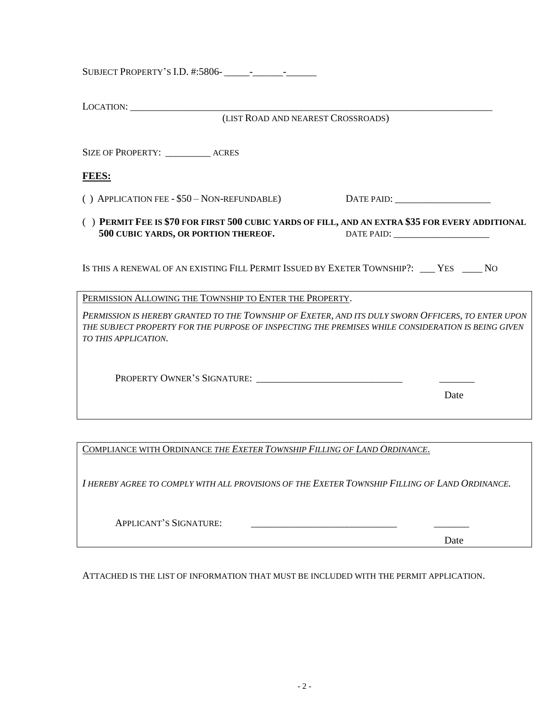| LOCATION:<br>(LIST ROAD AND NEAREST CROSSROADS)                                                                                                                                                                                  |
|----------------------------------------------------------------------------------------------------------------------------------------------------------------------------------------------------------------------------------|
| SIZE OF PROPERTY: _____________ ACRES                                                                                                                                                                                            |
| <b>FEES:</b>                                                                                                                                                                                                                     |
| () APPLICATION FEE - \$50 - NON-REFUNDABLE)                                                                                                                                                                                      |
| () PERMIT FEE IS \$70 FOR FIRST 500 CUBIC YARDS OF FILL, AND AN EXTRA \$35 FOR EVERY ADDITIONAL<br>500 CUBIC YARDS, OR PORTION THEREOF.                                                                                          |
| IS THIS A RENEWAL OF AN EXISTING FILL PERMIT ISSUED BY EXETER TOWNSHIP?: ___ YES ____ NO                                                                                                                                         |
| PERMISSION ALLOWING THE TOWNSHIP TO ENTER THE PROPERTY.                                                                                                                                                                          |
| PERMISSION IS HEREBY GRANTED TO THE TOWNSHIP OF EXETER, AND ITS DULY SWORN OFFICERS, TO ENTER UPON<br>THE SUBJECT PROPERTY FOR THE PURPOSE OF INSPECTING THE PREMISES WHILE CONSIDERATION IS BEING GIVEN<br>TO THIS APPLICATION. |
| PROPERTY OWNER'S SIGNATURE:<br>Date                                                                                                                                                                                              |
|                                                                                                                                                                                                                                  |
| COMPLIANCE WITH ORDINANCE THE EXETER TOWNSHIP FILLING OF LAND ORDINANCE.                                                                                                                                                         |

*I HEREBY AGREE TO COMPLY WITH ALL PROVISIONS OF THE EXETER TOWNSHIP FILLING OF LAND ORDINANCE.*

| <b>APPLICANT'S SIGNATURE:</b> |
|-------------------------------|
|-------------------------------|

Date

ATTACHED IS THE LIST OF INFORMATION THAT MUST BE INCLUDED WITH THE PERMIT APPLICATION.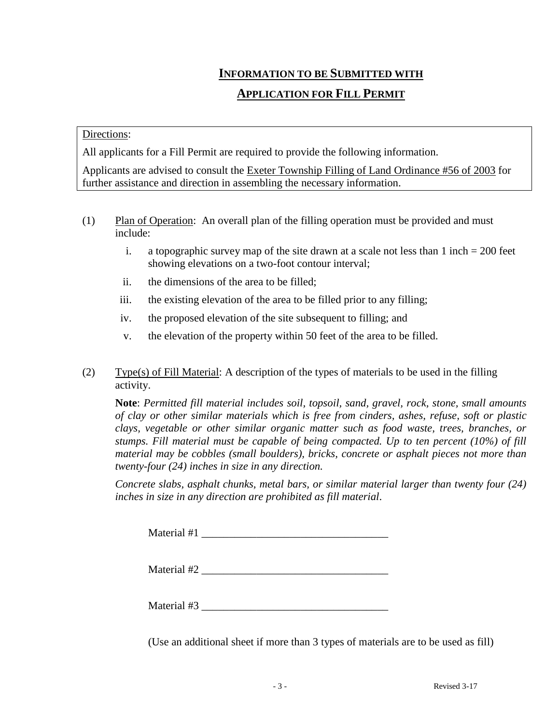### **INFORMATION TO BE SUBMITTED WITH**

## **APPLICATION FOR FILL PERMIT**

#### Directions:

All applicants for a Fill Permit are required to provide the following information.

Applicants are advised to consult the Exeter Township Filling of Land Ordinance #56 of 2003 for further assistance and direction in assembling the necessary information.

- (1) Plan of Operation: An overall plan of the filling operation must be provided and must include:
	- i. a topographic survey map of the site drawn at a scale not less than  $1$  inch  $= 200$  feet showing elevations on a two-foot contour interval;
	- ii. the dimensions of the area to be filled;
	- iii. the existing elevation of the area to be filled prior to any filling;
	- iv. the proposed elevation of the site subsequent to filling; and
	- v. the elevation of the property within 50 feet of the area to be filled.
- (2) Type(s) of Fill Material: A description of the types of materials to be used in the filling activity.

**Note**: *Permitted fill material includes soil, topsoil, sand, gravel, rock, stone, small amounts of clay or other similar materials which is free from cinders, ashes, refuse, soft or plastic clays, vegetable or other similar organic matter such as food waste, trees, branches, or stumps. Fill material must be capable of being compacted. Up to ten percent (10%) of fill material may be cobbles (small boulders), bricks, concrete or asphalt pieces not more than twenty-four (24) inches in size in any direction.*

*Concrete slabs, asphalt chunks, metal bars, or similar material larger than twenty four (24) inches in size in any direction are prohibited as fill material*.

 $\text{Material} \#1$ 

Material #2 \_\_\_\_\_\_\_\_\_\_\_\_\_\_\_\_\_\_\_\_\_\_\_\_\_\_\_\_\_\_\_\_\_\_

Material  $#3$ 

(Use an additional sheet if more than 3 types of materials are to be used as fill)